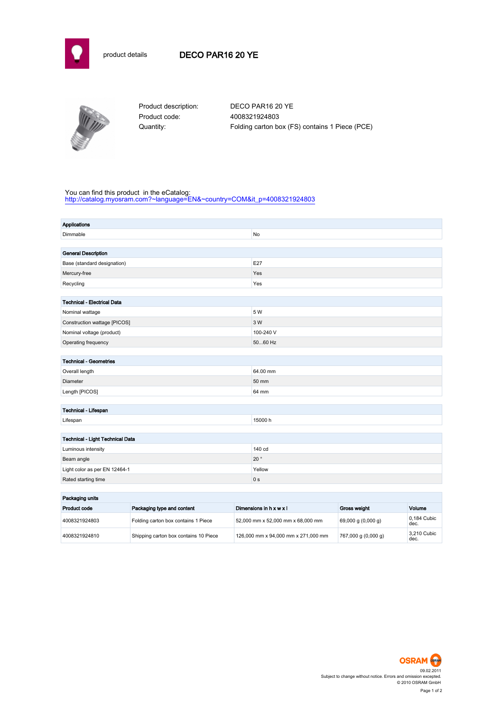



Product code: 4008321924803

Product description: DECO PAR16 20 YE Quantity: Folding carton box (FS) contains 1 Piece (PCE)

## You can find this product in the eCatalog:

[http://catalog.myosram.com?~language=EN&~country=COM&it\\_p=4008321924803](http://catalog.myosram.com?~language=EN&~country=COM&it_p=4008321924803)

| <b>Applications</b>                |                                     |           |                                   |                    |                     |
|------------------------------------|-------------------------------------|-----------|-----------------------------------|--------------------|---------------------|
| Dimmable                           |                                     |           | No                                |                    |                     |
|                                    |                                     |           |                                   |                    |                     |
| <b>General Description</b>         |                                     |           |                                   |                    |                     |
| Base (standard designation)        |                                     | E27       |                                   |                    |                     |
| Mercury-free                       |                                     |           | Yes                               |                    |                     |
| Recycling                          |                                     | Yes       |                                   |                    |                     |
|                                    |                                     |           |                                   |                    |                     |
| <b>Technical - Electrical Data</b> |                                     |           |                                   |                    |                     |
| Nominal wattage                    |                                     | 5 W       |                                   |                    |                     |
| Construction wattage [PICOS]       |                                     | 3 W       |                                   |                    |                     |
| Nominal voltage (product)          |                                     | 100-240 V |                                   |                    |                     |
| Operating frequency                |                                     | 5060 Hz   |                                   |                    |                     |
|                                    |                                     |           |                                   |                    |                     |
| <b>Technical - Geometries</b>      |                                     |           |                                   |                    |                     |
| Overall length                     |                                     |           | 64.00 mm                          |                    |                     |
| Diameter                           |                                     |           | 50 mm                             |                    |                     |
| Length [PICOS]                     |                                     | 64 mm     |                                   |                    |                     |
|                                    |                                     |           |                                   |                    |                     |
| Technical - Lifespan               |                                     |           |                                   |                    |                     |
| Lifespan                           |                                     | 15000 h   |                                   |                    |                     |
|                                    |                                     |           |                                   |                    |                     |
| Technical - Light Technical Data   |                                     |           |                                   |                    |                     |
| Luminous intensity                 |                                     |           | 140 cd                            |                    |                     |
| Beam angle                         |                                     |           | $20^{\circ}$                      |                    |                     |
| Light color as per EN 12464-1      |                                     |           | Yellow                            |                    |                     |
| Rated starting time                |                                     |           | 0 <sub>s</sub>                    |                    |                     |
|                                    |                                     |           |                                   |                    |                     |
| Packaging units                    |                                     |           |                                   |                    |                     |
| Product code                       | Packaging type and content          |           | Dimensions in h x w x l           | Gross weight       | Volume              |
| 4008321924803                      | Folding carton box contains 1 Piece |           | 52,000 mm x 52,000 mm x 68,000 mm | 69,000 g (0,000 g) | 0.184 Cubic<br>dec. |

4008321924810 Shipping carton box contains 10 Piece 126,000 mm x 94,000 mm x 271,000 mm 767,000 g (0,000 g)



3,210 Cubic<br>dec.